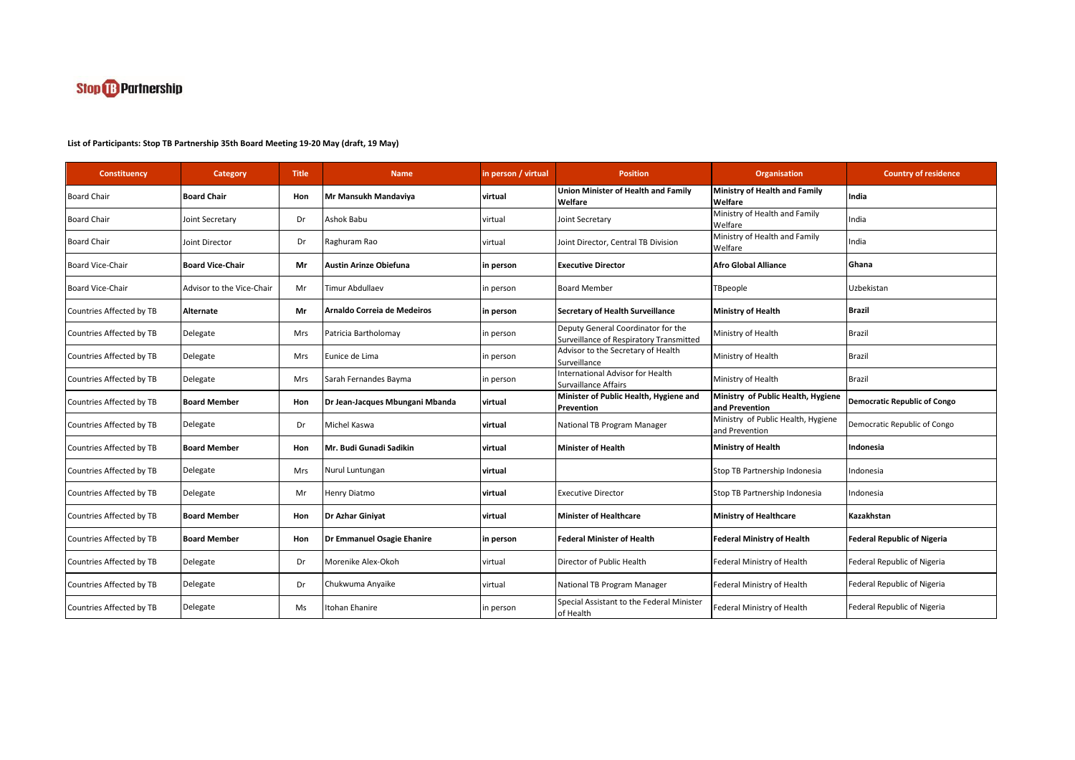

| Constituency             | Category                  | <b>Title</b> | <b>Name</b>                     | n person / virtual | <b>Position</b>                                                               | <b>Organisation</b>                                  | <b>Country of residence</b>         |
|--------------------------|---------------------------|--------------|---------------------------------|--------------------|-------------------------------------------------------------------------------|------------------------------------------------------|-------------------------------------|
| <b>Board Chair</b>       | <b>Board Chair</b>        | Hon          | Mr Mansukh Mandaviya            | virtual            | Union Minister of Health and Family<br>Welfare                                | <b>Ministry of Health and Family</b><br>Welfare      | India                               |
| <b>Board Chair</b>       | Joint Secretary           | Dr           | Ashok Babu                      | virtual            | Joint Secretary                                                               | Ministry of Health and Family<br>Welfare             | India                               |
| <b>Board Chair</b>       | Joint Director            | Dr           | Raghuram Rao                    | virtual            | Joint Director, Central TB Division                                           | Ministry of Health and Family<br>Welfare             | India                               |
| Board Vice-Chair         | <b>Board Vice-Chair</b>   | Mr           | <b>Austin Arinze Obiefuna</b>   | in person          | <b>Executive Director</b>                                                     | <b>Afro Global Alliance</b>                          | lGhana                              |
| <b>Board Vice-Chair</b>  | Advisor to the Vice-Chair | Mr           | <b>Timur Abdullaev</b>          | in person          | <b>Board Member</b>                                                           | TBpeople                                             | Uzbekistan                          |
| Countries Affected by TB | Alternate                 | Mr           | Arnaldo Correia de Medeiros     | in person          | <b>Secretary of Health Surveillance</b>                                       | <b>Ministry of Health</b>                            | <b>Brazil</b>                       |
| Countries Affected by TB | Delegate                  | <b>Mrs</b>   | Patricia Bartholomay            | n person           | Deputy General Coordinator for the<br>Surveillance of Respiratory Transmitted | Ministry of Health                                   | <b>Brazil</b>                       |
| Countries Affected by TB | Delegate                  | Mrs          | Eunice de Lima                  | n person           | Advisor to the Secretary of Health<br>Surveillance                            | Ministry of Health                                   | Brazil                              |
| Countries Affected by TB | Delegate                  | Mrs          | Sarah Fernandes Bayma           | in person          | <b>International Advisor for Health</b><br>Survaillance Affairs               | Ministry of Health                                   | <b>Brazil</b>                       |
| Countries Affected by TB | <b>Board Member</b>       | Hon          | Dr Jean-Jacques Mbungani Mbanda | virtual            | Minister of Public Health, Hygiene and<br>Prevention                          | Ministry of Public Health, Hygiene<br>and Prevention | <b>Democratic Republic of Congo</b> |
| Countries Affected by TB | Delegate                  | Dr           | Michel Kaswa                    | virtual            | National TB Program Manager                                                   | Ministry of Public Health, Hygiene<br>and Prevention | Democratic Republic of Congo        |
| Countries Affected by TB | <b>Board Member</b>       | Hon          | Mr. Budi Gunadi Sadikin         | virtual            | <b>Minister of Health</b>                                                     | <b>Ministry of Health</b>                            | Indonesia                           |
| Countries Affected by TB | Delegate                  | Mrs          | Nurul Luntungan                 | virtual            |                                                                               | Stop TB Partnership Indonesia                        | Indonesia                           |
| Countries Affected by TB | Delegate                  | Mr           | Henry Diatmo                    | virtual            | <b>Executive Director</b>                                                     | Stop TB Partnership Indonesia                        | Indonesia                           |
| Countries Affected by TB | <b>Board Member</b>       | Hon          | Dr Azhar Giniyat                | virtual            | <b>Minister of Healthcare</b>                                                 | <b>Ministry of Healthcare</b>                        | Kazakhstan                          |
| Countries Affected by TB | <b>Board Member</b>       | Hon          | Dr Emmanuel Osagie Ehanire      | in person          | <b>Federal Minister of Health</b>                                             | <b>Federal Ministry of Health</b>                    | <b>Federal Republic of Nigeria</b>  |
| Countries Affected by TB | Delegate                  | Dr           | Morenike Alex-Okoh              | virtual            | Director of Public Health                                                     | Federal Ministry of Health                           | Federal Republic of Nigeria         |
| Countries Affected by TB | Delegate                  | Dr           | Chukwuma Anyaike                | virtual            | National TB Program Manager                                                   | Federal Ministry of Health                           | Federal Republic of Nigeria         |
| Countries Affected by TB | Delegate                  | Ms           | Itohan Ehanire                  | in person          | Special Assistant to the Federal Minister<br>of Health                        | Federal Ministry of Health                           | Federal Republic of Nigeria         |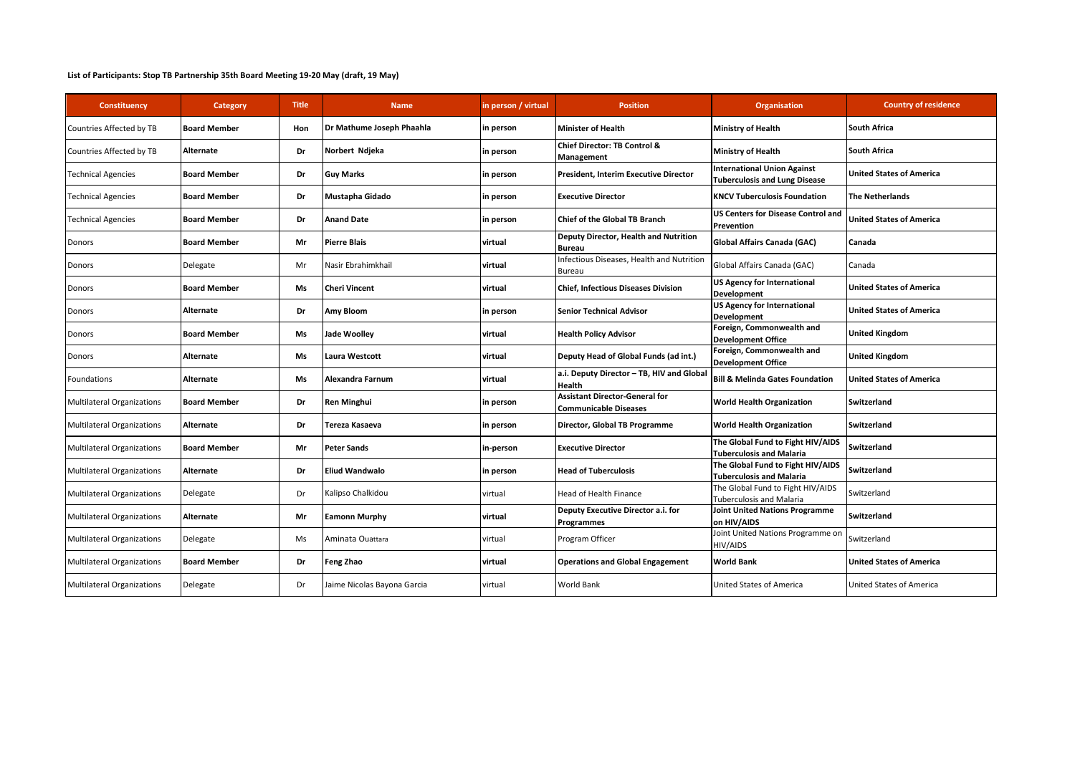| Constituency                      | Category            | Title | <b>Name</b>                 | n person / virtual | <b>Position</b>                                                       | <b>Organisation</b>                                                        | <b>Country of residence</b>     |
|-----------------------------------|---------------------|-------|-----------------------------|--------------------|-----------------------------------------------------------------------|----------------------------------------------------------------------------|---------------------------------|
| Countries Affected by TB          | <b>Board Member</b> | Hon   | Dr Mathume Joseph Phaahla   | in person          | <b>Minister of Health</b>                                             | Ministry of Health                                                         | <b>South Africa</b>             |
| Countries Affected by TB          | Alternate           | Dr    | Norbert Ndjeka              | in person          | Chief Director: TB Control &<br>Management                            | Ministry of Health                                                         | <b>South Africa</b>             |
| <b>Technical Agencies</b>         | <b>Board Member</b> | Dr    | <b>Guy Marks</b>            | in person          | President, Interim Executive Director                                 | <b>International Union Against</b><br><b>Tuberculosis and Lung Disease</b> | <b>United States of America</b> |
| <b>Technical Agencies</b>         | <b>Board Member</b> | Dr    | Mustapha Gidado             | in person          | <b>Executive Director</b>                                             | <b>KNCV Tuberculosis Foundation</b>                                        | <b>The Netherlands</b>          |
| <b>Technical Agencies</b>         | <b>Board Member</b> | Dr    | <b>Anand Date</b>           | in person          | <b>Chief of the Global TB Branch</b>                                  | <b>US Centers for Disease Control and</b><br>Prevention                    | <b>United States of America</b> |
| Donors                            | <b>Board Member</b> | Mr    | <b>Pierre Blais</b>         | virtual            | Deputy Director, Health and Nutrition<br><b>Bureau</b>                | Global Affairs Canada (GAC)                                                | Canada                          |
| Donors                            | Delegate            | Mr    | Nasir Ebrahimkhail          | virtual            | Infectious Diseases, Health and Nutrition<br>Bureau                   | Global Affairs Canada (GAC)                                                | Canada                          |
| Donors                            | <b>Board Member</b> | Ms    | <b>Cheri Vincent</b>        | virtual            | <b>Chief, Infectious Diseases Division</b>                            | <b>US Agency for International</b><br>Development                          | <b>United States of America</b> |
| Donors                            | Alternate           | Dr    | Amy Bloom                   | in person          | <b>Senior Technical Advisor</b>                                       | <b>US Agency for International</b><br><b>Development</b>                   | <b>United States of America</b> |
| Donors                            | <b>Board Member</b> | Ms    | <b>Jade Woolley</b>         | virtual            | <b>Health Policy Advisor</b>                                          | Foreign, Commonwealth and<br><b>Development Office</b>                     | <b>United Kingdom</b>           |
| Donors                            | Alternate           | Ms    | <b>Laura Westcott</b>       | virtual            | Deputy Head of Global Funds (ad int.)                                 | Foreign, Commonwealth and<br><b>Development Office</b>                     | <b>United Kingdom</b>           |
| Foundations                       | Alternate           | Ms    | Alexandra Farnum            | virtual            | a.i. Deputy Director - TB, HIV and Globa<br>Health                    | <b>Bill &amp; Melinda Gates Foundation</b>                                 | <b>United States of America</b> |
| <b>Multilateral Organizations</b> | <b>Board Member</b> | Dr    | <b>Ren Minghui</b>          | in person          | <b>Assistant Director-General for</b><br><b>Communicable Diseases</b> | <b>World Health Organization</b>                                           | <b>Switzerland</b>              |
| <b>Multilateral Organizations</b> | Alternate           | Dr    | Tereza Kasaeva              | in person          | Director, Global TB Programme                                         | <b>World Health Organization</b>                                           | <b>Switzerland</b>              |
| <b>Multilateral Organizations</b> | <b>Board Member</b> | Mr    | <b>Peter Sands</b>          | in-person          | <b>Executive Director</b>                                             | The Global Fund to Fight HIV/AIDS<br><b>Tuberculosis and Malaria</b>       | Switzerland                     |
| Multilateral Organizations        | Alternate           | Dr    | <b>Eliud Wandwalo</b>       | in person          | <b>Head of Tuberculosis</b>                                           | The Global Fund to Fight HIV/AIDS<br>Tuberculosis and Malaria              | <b>Switzerland</b>              |
| Multilateral Organizations        | Delegate            | Dr    | Kalipso Chalkidou           | virtual            | Head of Health Finance                                                | The Global Fund to Fight HIV/AIDS<br><b>Tuberculosis and Malaria</b>       | Switzerland                     |
| <b>Multilateral Organizations</b> | <b>Alternate</b>    | Mr    | <b>Eamonn Murphy</b>        | virtual            | Deputy Executive Director a.i. for<br>Programmes                      | <b>Joint United Nations Programme</b><br>on HIV/AIDS                       | Switzerland                     |
| Multilateral Organizations        | Delegate            | Ms    | Aminata Ouattara            | virtual            | Program Officer                                                       | Joint United Nations Programme on<br>HIV/AIDS                              | Switzerland                     |
| <b>Multilateral Organizations</b> | <b>Board Member</b> | Dr    | <b>Feng Zhao</b>            | virtual            | <b>Operations and Global Engagement</b>                               | <b>World Bank</b>                                                          | <b>United States of America</b> |
| <b>Multilateral Organizations</b> | Delegate            | Dr    | Jaime Nicolas Bayona Garcia | virtual            | World Bank                                                            | United States of America                                                   | United States of America        |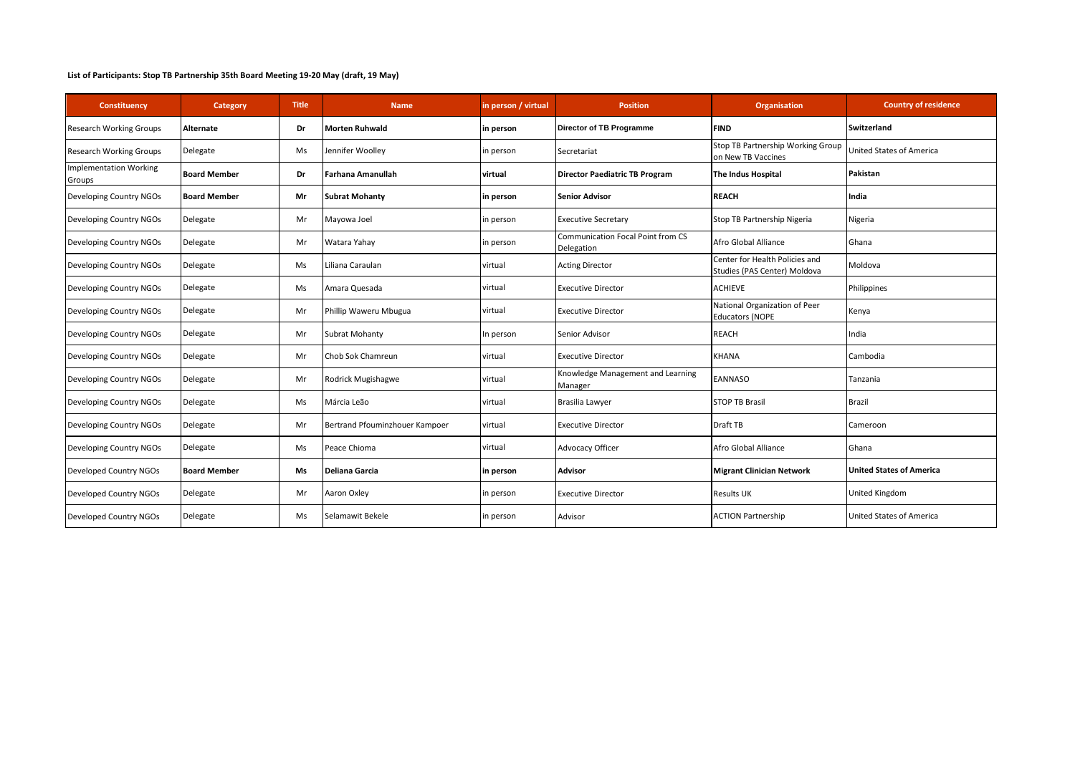| Constituency                            | Category            | Title | <b>Name</b>                    | in person / virtual | <b>Position</b>                                        | <b>Organisation</b>                                            | <b>Country of residence</b> |
|-----------------------------------------|---------------------|-------|--------------------------------|---------------------|--------------------------------------------------------|----------------------------------------------------------------|-----------------------------|
| <b>Research Working Groups</b>          | Alternate           | Dr    | <b>Morten Ruhwald</b>          | in person           | Director of TB Programme                               | <b>FIND</b>                                                    | Switzerland                 |
| <b>Research Working Groups</b>          | Delegate            | Ms    | Jennifer Woolley               | in person           | Secretariat                                            | Stop TB Partnership Working Group<br>on New TB Vaccines        | United States of America    |
| <b>Implementation Working</b><br>Groups | <b>Board Member</b> | Dr    | Farhana Amanullah              | virtual             | <b>Director Paediatric TB Program</b>                  | The Indus Hospital                                             | Pakistan                    |
| Developing Country NGOs                 | <b>Board Member</b> | Mr    | <b>Subrat Mohanty</b>          | in person           | <b>Senior Advisor</b>                                  | <b>REACH</b>                                                   | India                       |
| Developing Country NGOs                 | Delegate            | Mr    | Mayowa Joel                    | in person           | <b>Executive Secretary</b>                             | Stop TB Partnership Nigeria                                    | Nigeria                     |
| Developing Country NGOs                 | Delegate            | Mr    | Watara Yahay                   | in person           | <b>Communication Focal Point from CS</b><br>Delegation | Afro Global Alliance                                           | Ghana                       |
| Developing Country NGOs                 | Delegate            | Ms    | Liliana Caraulan               | virtual             | <b>Acting Director</b>                                 | Center for Health Policies and<br>Studies (PAS Center) Moldova | Moldova                     |
| Developing Country NGOs                 | Delegate            | Ms    | Amara Quesada                  | virtual             | <b>Executive Director</b>                              | <b>ACHIEVE</b>                                                 | Philippines                 |
| Developing Country NGOs                 | Delegate            | Mr    | Phillip Waweru Mbugua          | virtual             | <b>Executive Director</b>                              | National Organization of Peer<br><b>Educators (NOPE</b>        | Kenya                       |
| Developing Country NGOs                 | Delegate            | Mr    | <b>Subrat Mohanty</b>          | In person           | Senior Advisor                                         | <b>REACH</b>                                                   | India                       |
| Developing Country NGOs                 | Delegate            | Mr    | Chob Sok Chamreun              | virtual             | <b>Executive Director</b>                              | <b>KHANA</b>                                                   | Cambodia                    |
| Developing Country NGOs                 | Delegate            | Mr    | Rodrick Mugishagwe             | virtual             | Knowledge Management and Learning<br>Manager           | <b>EANNASO</b>                                                 | Tanzania                    |
| Developing Country NGOs                 | Delegate            | Ms    | Márcia Leão                    | virtual             | Brasilia Lawyer                                        | <b>STOP TB Brasil</b>                                          | <b>Brazil</b>               |
| Developing Country NGOs                 | Delegate            | Mr    | Bertrand Pfouminzhouer Kampoer | virtual             | <b>Executive Director</b>                              | Draft TB                                                       | Cameroon                    |
| Developing Country NGOs                 | Delegate            | Ms    | Peace Chioma                   | virtual             | Advocacy Officer                                       | Afro Global Alliance                                           | Ghana                       |
| Developed Country NGOs                  | <b>Board Member</b> | Ms    | Deliana Garcia                 | in person           | Advisor                                                | <b>Migrant Clinician Network</b>                               | United States of America    |
| Developed Country NGOs                  | Delegate            | Mr    | Aaron Oxley                    | in person           | <b>Executive Director</b>                              | <b>Results UK</b>                                              | <b>United Kingdom</b>       |
| Developed Country NGOs                  | Delegate            | Ms    | Selamawit Bekele               | in person           | Advisor                                                | <b>ACTION Partnership</b>                                      | United States of America    |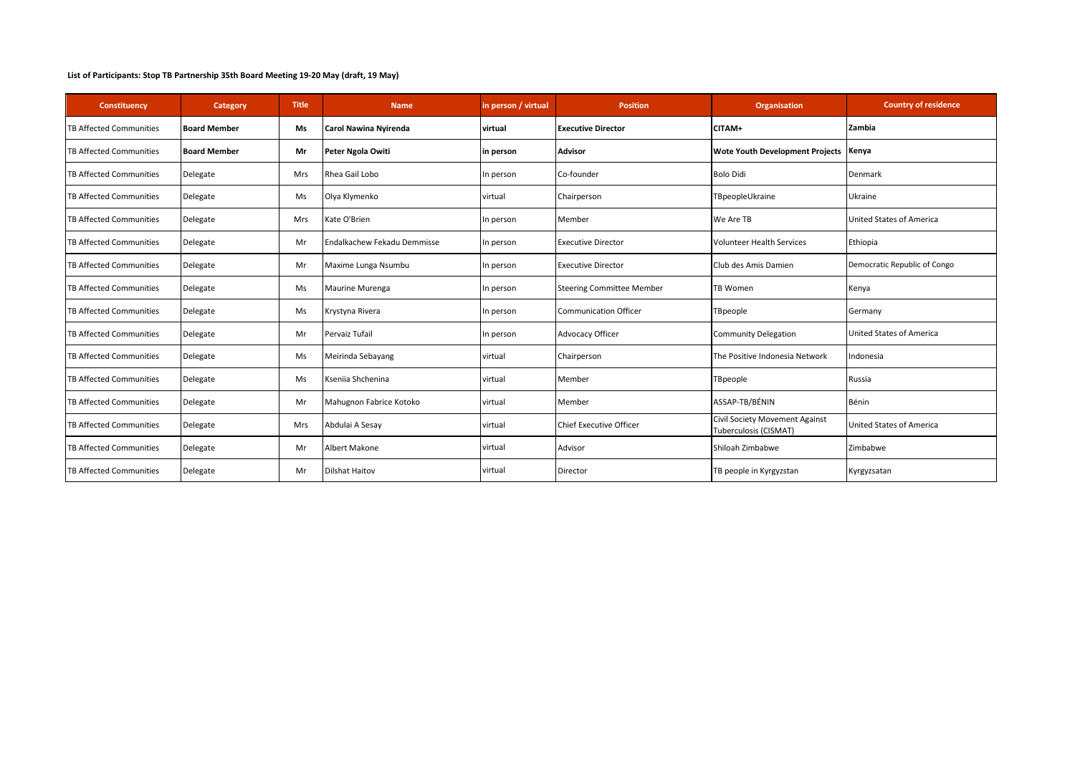| Constituency                   | Category            | <b>Title</b> | <b>Name</b>                 | in person / virtual | <b>Position</b>                  | <b>Organisation</b>                                     | <b>Country of residence</b>     |
|--------------------------------|---------------------|--------------|-----------------------------|---------------------|----------------------------------|---------------------------------------------------------|---------------------------------|
| <b>TB Affected Communities</b> | <b>Board Member</b> | Ms           | Carol Nawina Nyirenda       | virtual             | <b>Executive Director</b>        | CITAM+                                                  | Zambia                          |
| <b>TB Affected Communities</b> | <b>Board Member</b> | Mr           | Peter Ngola Owiti           | in person           | <b>Advisor</b>                   | <b>Wote Youth Development Projects</b>                  | Kenya                           |
| <b>TB Affected Communities</b> | Delegate            | <b>Mrs</b>   | Rhea Gail Lobo              | In person           | Co-founder                       | <b>Bolo Didi</b>                                        | Denmark                         |
| <b>TB Affected Communities</b> | Delegate            | Ms           | Olya Klymenko               | virtual             | Chairperson                      | TBpeopleUkraine                                         | Ukraine                         |
| <b>TB Affected Communities</b> | Delegate            | <b>Mrs</b>   | Kate O'Brien                | In person           | Member                           | We Are TB                                               | United States of America        |
| <b>TB Affected Communities</b> | Delegate            | Mr           | Endalkachew Fekadu Demmisse | In person           | <b>Executive Director</b>        | <b>Volunteer Health Services</b>                        | Ethiopia                        |
| <b>TB Affected Communities</b> | Delegate            | Mr           | Maxime Lunga Nsumbu         | In person           | <b>Executive Director</b>        | Club des Amis Damien                                    | Democratic Republic of Congo    |
| <b>TB Affected Communities</b> | Delegate            | Ms           | Maurine Murenga             | In person           | <b>Steering Committee Member</b> | <b>TB Women</b>                                         | Kenya                           |
| <b>TB Affected Communities</b> | Delegate            | Ms           | Krystyna Rivera             | In person           | <b>Communication Officer</b>     | TBpeople                                                | Germany                         |
| <b>TB Affected Communities</b> | Delegate            | Mr           | Pervaiz Tufail              | In person           | <b>Advocacy Officer</b>          | <b>Community Delegation</b>                             | <b>United States of America</b> |
| <b>TB Affected Communities</b> | Delegate            | Ms           | Meirinda Sebayang           | virtual             | Chairperson                      | The Positive Indonesia Network                          | Indonesia                       |
| <b>TB Affected Communities</b> | Delegate            | Ms           | Ksenija Shchenina           | virtual             | Member                           | TBpeople                                                | Russia                          |
| <b>TB Affected Communities</b> | Delegate            | Mr           | Mahugnon Fabrice Kotoko     | virtual             | Member                           | ASSAP-TB/BÉNIN                                          | Bénin                           |
| <b>TB Affected Communities</b> | Delegate            | Mrs          | Abdulai A Sesay             | virtual             | Chief Executive Officer          | Civil Society Movement Against<br>Tuberculosis (CISMAT) | <b>United States of America</b> |
| <b>TB Affected Communities</b> | Delegate            | Mr           | Albert Makone               | virtual             | Advisor                          | Shiloah Zimbabwe                                        | Zimbabwe                        |
| <b>TB Affected Communities</b> | Delegate            | Mr           | <b>Dilshat Haitov</b>       | virtual             | Director                         | TB people in Kyrgyzstan                                 | Kyrgyzsatan                     |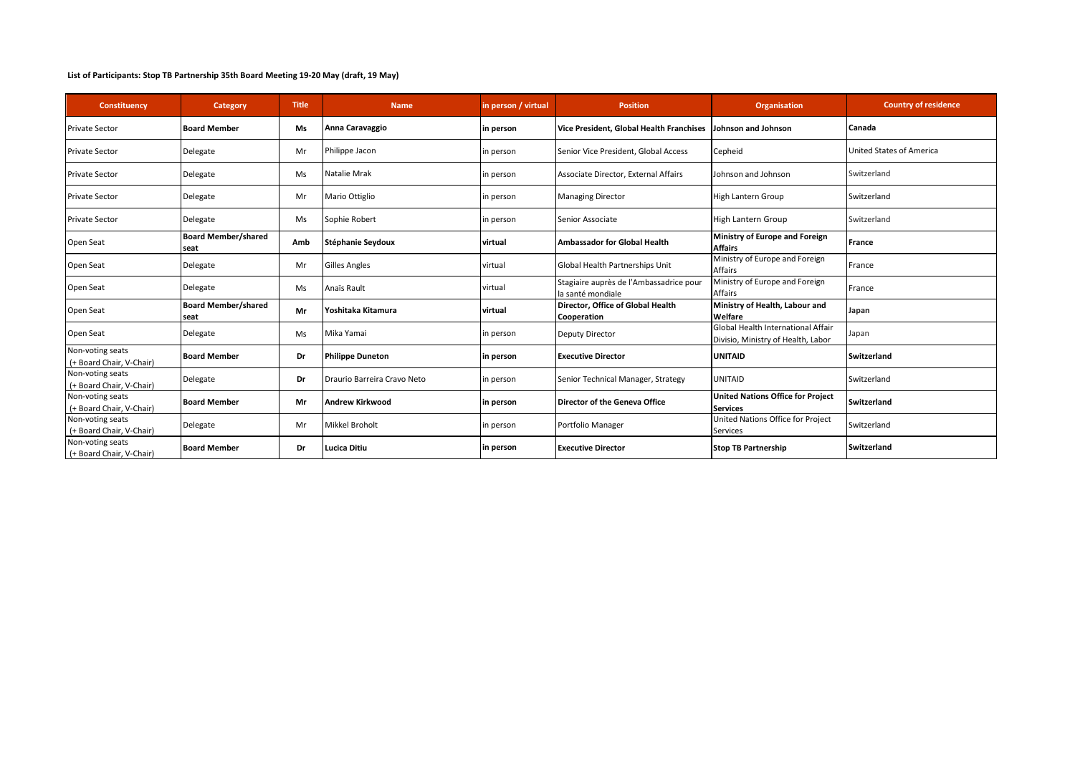| Constituency                                 | Category                           | <b>Title</b> | <b>Name</b>                 | in person / virtual | <b>Position</b>                                              | <b>Organisation</b>                                                      | <b>Country of residence</b> |
|----------------------------------------------|------------------------------------|--------------|-----------------------------|---------------------|--------------------------------------------------------------|--------------------------------------------------------------------------|-----------------------------|
| <b>Private Sector</b>                        | <b>Board Member</b>                | Ms           | Anna Caravaggio             | in person           | Vice President, Global Health Franchises                     | ohnson and Johnson                                                       | Canada                      |
| <b>Private Sector</b>                        | Delegate                           | Mr           | Philippe Jacon              | in person           | Senior Vice President, Global Access                         | Cepheid                                                                  | United States of America    |
| <b>Private Sector</b>                        | Delegate                           | Ms           | Natalie Mrak                | in person           | Associate Director, External Affairs                         | Johnson and Johnson                                                      | Switzerland                 |
| <b>Private Sector</b>                        | Delegate                           | Mr           | Mario Ottiglio              | in person           | <b>Managing Director</b>                                     | High Lantern Group                                                       | Switzerland                 |
| <b>Private Sector</b>                        | Delegate                           | Ms           | Sophie Robert               | in person           | Senior Associate                                             | High Lantern Group                                                       | Switzerland                 |
| Open Seat                                    | <b>Board Member/shared</b><br>seat | Amb          | Stéphanie Seydoux           | virtual             | <b>Ambassador for Global Health</b>                          | Ministry of Europe and Foreign<br><b>Affairs</b>                         | France                      |
| Open Seat                                    | Delegate                           | Mr           | <b>Gilles Angles</b>        | virtual             | Global Health Partnerships Unit                              | Ministry of Europe and Foreign<br>Affairs                                | France                      |
| Open Seat                                    | Delegate                           | Ms           | Anaïs Rault                 | virtual             | Stagiaire auprès de l'Ambassadrice pour<br>la santé mondiale | Ministry of Europe and Foreign<br>Affairs                                | France                      |
| Open Seat                                    | <b>Board Member/shared</b><br>seat | Mr           | Yoshitaka Kitamura          | virtual             | Director, Office of Global Health<br>Cooperation             | Ministry of Health, Labour and<br>Welfare                                | Japan                       |
| Open Seat                                    | Delegate                           | Ms           | Mika Yamai                  | in person           | <b>Deputy Director</b>                                       | Global Health International Affair<br>Divisio, Ministry of Health, Labor | Japan                       |
| Non-voting seats<br>(+ Board Chair, V-Chair) | <b>Board Member</b>                | Dr           | <b>Philippe Duneton</b>     | in person           | <b>Executive Director</b>                                    | <b>UNITAID</b>                                                           | <b>Switzerland</b>          |
| Non-voting seats<br>(+ Board Chair, V-Chair) | Delegate                           | Dr           | Draurio Barreira Cravo Neto | in person           | Senior Technical Manager, Strategy                           | UNITAID                                                                  | Switzerland                 |
| Non-voting seats<br>(+ Board Chair, V-Chair) | <b>Board Member</b>                | Mr           | <b>Andrew Kirkwood</b>      | in person           | Director of the Geneva Office                                | <b>United Nations Office for Project</b><br><b>Services</b>              | <b>Switzerland</b>          |
| Non-voting seats<br>(+ Board Chair, V-Chair) | Delegate                           | Mr           | <b>Mikkel Broholt</b>       | in person           | Portfolio Manager                                            | United Nations Office for Project<br>Services                            | Switzerland                 |
| Non-voting seats<br>(+ Board Chair, V-Chair) | <b>Board Member</b>                | Dr           | <b>Lucica Ditiu</b>         | in person           | <b>Executive Director</b>                                    | <b>Stop TB Partnership</b>                                               | <b>Switzerland</b>          |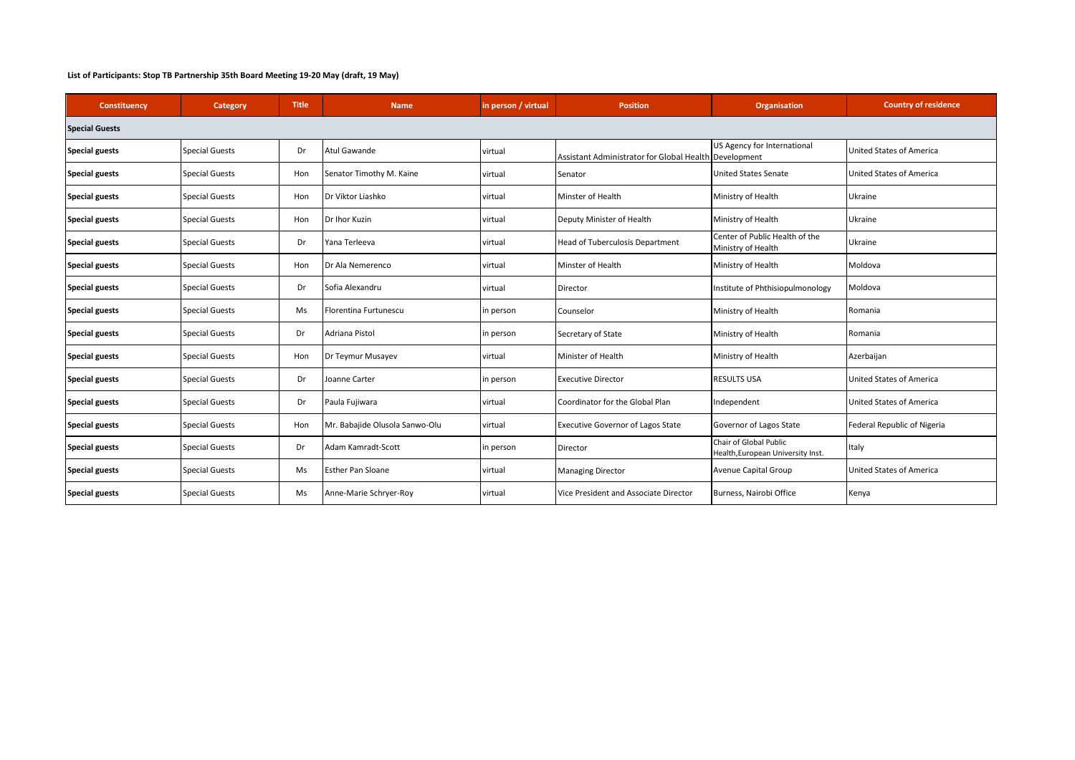| Constituency          | Category              | <b>Title</b> | <b>Name</b>                    | in person / virtual | <b>Position</b>                                       | <b>Organisation</b>                                         | <b>Country of residence</b>     |  |  |
|-----------------------|-----------------------|--------------|--------------------------------|---------------------|-------------------------------------------------------|-------------------------------------------------------------|---------------------------------|--|--|
| <b>Special Guests</b> |                       |              |                                |                     |                                                       |                                                             |                                 |  |  |
| <b>Special guests</b> | <b>Special Guests</b> | Dr           | Atul Gawande                   | virtual             | Assistant Administrator for Global Health Development | US Agency for International                                 | <b>United States of America</b> |  |  |
| <b>Special guests</b> | <b>Special Guests</b> | Hon          | Senator Timothy M. Kaine       | virtual             | Senator                                               | <b>United States Senate</b>                                 | United States of America        |  |  |
| <b>Special guests</b> | <b>Special Guests</b> | Hon          | Dr Viktor Liashko              | virtual             | <b>Minster of Health</b>                              | Ministry of Health                                          | Ukraine                         |  |  |
| <b>Special guests</b> | <b>Special Guests</b> | Hon          | Dr Ihor Kuzin                  | virtual             | Deputy Minister of Health                             | Ministry of Health                                          | Ukraine                         |  |  |
| <b>Special guests</b> | <b>Special Guests</b> | Dr           | Yana Terleeva                  | virtual             | Head of Tuberculosis Department                       | Center of Public Health of the<br>Ministry of Health        | Ukraine                         |  |  |
| <b>Special guests</b> | <b>Special Guests</b> | Hon          | Dr Ala Nemerenco               | virtual             | Minster of Health                                     | Ministry of Health                                          | Moldova                         |  |  |
| <b>Special guests</b> | <b>Special Guests</b> | Dr           | Sofia Alexandru                | virtual             | Director                                              | Institute of Phthisiopulmonology                            | Moldova                         |  |  |
| <b>Special guests</b> | <b>Special Guests</b> | Ms           | Florentina Furtunescu          | in person           | Counselor                                             | Ministry of Health                                          | Romania                         |  |  |
| <b>Special guests</b> | <b>Special Guests</b> | Dr           | Adriana Pistol                 | in person           | Secretary of State                                    | Ministry of Health                                          | Romania                         |  |  |
| <b>Special guests</b> | <b>Special Guests</b> | Hon          | Dr Teymur Musayev              | virtual             | Minister of Health                                    | Ministry of Health                                          | Azerbaijan                      |  |  |
| <b>Special guests</b> | <b>Special Guests</b> | Dr           | Joanne Carter                  | in person           | <b>Executive Director</b>                             | <b>RESULTS USA</b>                                          | <b>United States of America</b> |  |  |
| <b>Special guests</b> | <b>Special Guests</b> | Dr           | Paula Fujiwara                 | virtual             | Coordinator for the Global Plan                       | Independent                                                 | <b>United States of America</b> |  |  |
| <b>Special guests</b> | <b>Special Guests</b> | Hon          | Mr. Babajide Olusola Sanwo-Olu | virtual             | <b>Executive Governor of Lagos State</b>              | Governor of Lagos State                                     | Federal Republic of Nigeria     |  |  |
| <b>Special guests</b> | <b>Special Guests</b> | Dr           | Adam Kamradt-Scott             | in person           | Director                                              | Chair of Global Public<br>Health, European University Inst. | Italy                           |  |  |
| <b>Special guests</b> | <b>Special Guests</b> | Ms           | <b>Esther Pan Sloane</b>       | virtual             | <b>Managing Director</b>                              | Avenue Capital Group                                        | <b>United States of America</b> |  |  |
| <b>Special guests</b> | <b>Special Guests</b> | Ms           | Anne-Marie Schryer-Roy         | virtual             | Vice President and Associate Director                 | Burness, Nairobi Office                                     | Kenya                           |  |  |